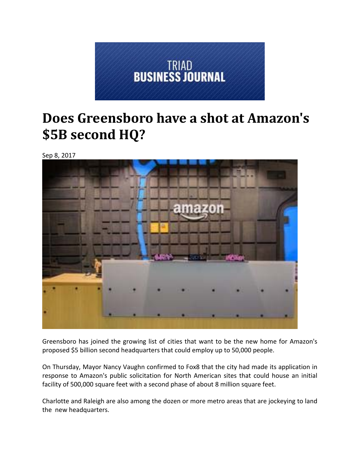

## **Does Greensboro have a shot at Amazon's \$5B second HQ?**

Sep 8, 2017



Greensboro has joined the growing list of cities that want to be the new home for Amazon's proposed \$5 billion second headquarters that could employ up to 50,000 people.

On Thursday, Mayor Nancy Vaughn confirmed to Fox8 that the city had made its application in response to Amazon's public solicitation for North American sites that could house an initial facility of 500,000 square feet with a second phase of about 8 million square feet.

Charlotte and Raleigh are also among the dozen or more metro areas that are jockeying to land the new headquarters.